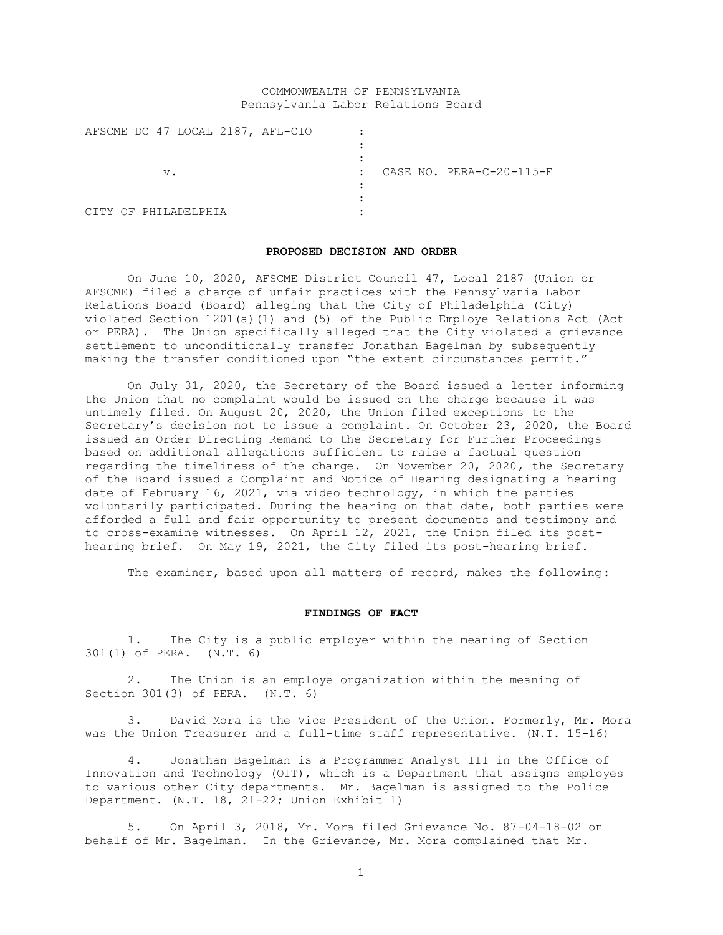# COMMONWEALTH OF PENNSYLVANIA Pennsylvania Labor Relations Board

|  |    |              | AFSCME DC 47 LOCAL 2187, AFL-CIO |              |  |                          |
|--|----|--------------|----------------------------------|--------------|--|--------------------------|
|  |    |              |                                  |              |  |                          |
|  |    |              |                                  |              |  |                          |
|  | v. |              |                                  | $\mathbf{r}$ |  | CASE NO. PERA-C-20-115-E |
|  |    |              |                                  |              |  |                          |
|  |    |              |                                  |              |  |                          |
|  |    | PHTLADELPHTA |                                  |              |  |                          |

#### **PROPOSED DECISION AND ORDER**

On June 10, 2020, AFSCME District Council 47, Local 2187 (Union or AFSCME) filed a charge of unfair practices with the Pennsylvania Labor Relations Board (Board) alleging that the City of Philadelphia (City) violated Section 1201(a)(1) and (5) of the Public Employe Relations Act (Act or PERA). The Union specifically alleged that the City violated a grievance settlement to unconditionally transfer Jonathan Bagelman by subsequently making the transfer conditioned upon "the extent circumstances permit."

On July 31, 2020, the Secretary of the Board issued a letter informing the Union that no complaint would be issued on the charge because it was untimely filed. On August 20, 2020, the Union filed exceptions to the Secretary's decision not to issue a complaint. On October 23, 2020, the Board issued an Order Directing Remand to the Secretary for Further Proceedings based on additional allegations sufficient to raise a factual question regarding the timeliness of the charge. On November 20, 2020, the Secretary of the Board issued a Complaint and Notice of Hearing designating a hearing date of February 16, 2021, via video technology, in which the parties voluntarily participated. During the hearing on that date, both parties were afforded a full and fair opportunity to present documents and testimony and to cross-examine witnesses. On April 12, 2021, the Union filed its posthearing brief. On May 19, 2021, the City filed its post-hearing brief.

The examiner, based upon all matters of record, makes the following:

### **FINDINGS OF FACT**

1. The City is a public employer within the meaning of Section 301(1) of PERA. (N.T. 6)

2. The Union is an employe organization within the meaning of Section 301(3) of PERA. (N.T. 6)

3. David Mora is the Vice President of the Union. Formerly, Mr. Mora was the Union Treasurer and a full-time staff representative. (N.T. 15-16)

4. Jonathan Bagelman is a Programmer Analyst III in the Office of Innovation and Technology (OIT), which is a Department that assigns employes to various other City departments. Mr. Bagelman is assigned to the Police Department. (N.T. 18, 21-22; Union Exhibit 1)

5. On April 3, 2018, Mr. Mora filed Grievance No. 87-04-18-02 on behalf of Mr. Bagelman. In the Grievance, Mr. Mora complained that Mr.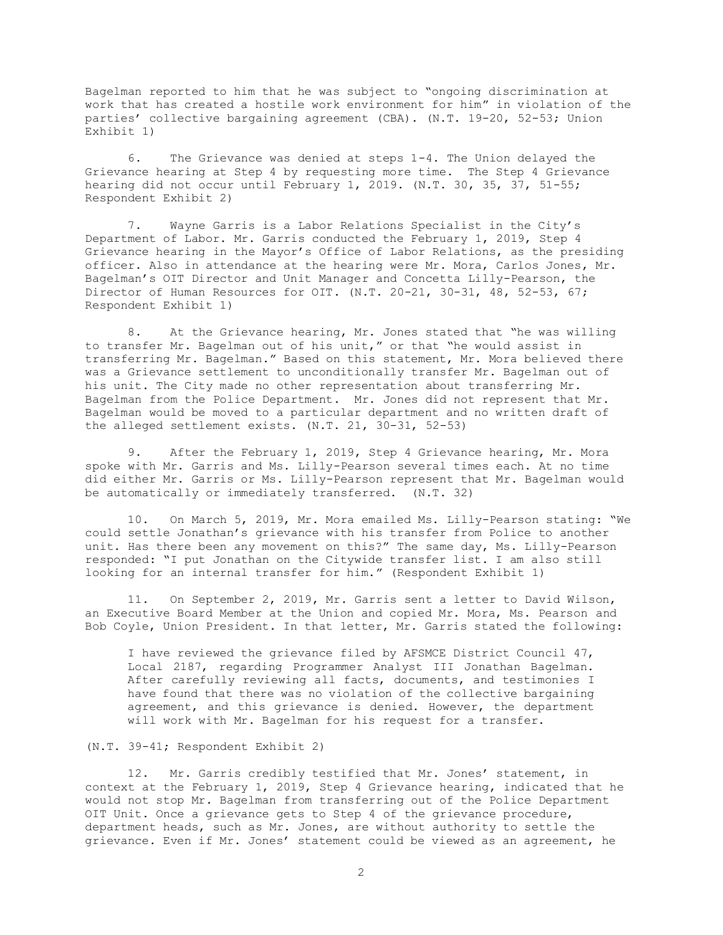Bagelman reported to him that he was subject to "ongoing discrimination at work that has created a hostile work environment for him" in violation of the parties' collective bargaining agreement (CBA). (N.T. 19-20, 52-53; Union Exhibit 1)

6. The Grievance was denied at steps 1-4. The Union delayed the Grievance hearing at Step 4 by requesting more time. The Step 4 Grievance hearing did not occur until February 1, 2019. (N.T. 30, 35, 37, 51-55; Respondent Exhibit 2)

7. Wayne Garris is a Labor Relations Specialist in the City's Department of Labor. Mr. Garris conducted the February 1, 2019, Step 4 Grievance hearing in the Mayor's Office of Labor Relations, as the presiding officer. Also in attendance at the hearing were Mr. Mora, Carlos Jones, Mr. Bagelman's OIT Director and Unit Manager and Concetta Lilly-Pearson, the Director of Human Resources for OIT. (N.T. 20-21, 30-31, 48, 52-53, 67; Respondent Exhibit 1)

8. At the Grievance hearing, Mr. Jones stated that "he was willing to transfer Mr. Bagelman out of his unit," or that "he would assist in transferring Mr. Bagelman." Based on this statement, Mr. Mora believed there was a Grievance settlement to unconditionally transfer Mr. Bagelman out of his unit. The City made no other representation about transferring Mr. Bagelman from the Police Department. Mr. Jones did not represent that Mr. Bagelman would be moved to a particular department and no written draft of the alleged settlement exists. (N.T. 21, 30-31, 52-53)

9. After the February 1, 2019, Step 4 Grievance hearing, Mr. Mora spoke with Mr. Garris and Ms. Lilly-Pearson several times each. At no time did either Mr. Garris or Ms. Lilly-Pearson represent that Mr. Bagelman would be automatically or immediately transferred. (N.T. 32)

10. On March 5, 2019, Mr. Mora emailed Ms. Lilly-Pearson stating: "We could settle Jonathan's grievance with his transfer from Police to another unit. Has there been any movement on this?" The same day, Ms. Lilly-Pearson responded: "I put Jonathan on the Citywide transfer list. I am also still looking for an internal transfer for him." (Respondent Exhibit 1)

11. On September 2, 2019, Mr. Garris sent a letter to David Wilson, an Executive Board Member at the Union and copied Mr. Mora, Ms. Pearson and Bob Coyle, Union President. In that letter, Mr. Garris stated the following:

I have reviewed the grievance filed by AFSMCE District Council 47, Local 2187, regarding Programmer Analyst III Jonathan Bagelman. After carefully reviewing all facts, documents, and testimonies I have found that there was no violation of the collective bargaining agreement, and this grievance is denied. However, the department will work with Mr. Bagelman for his request for a transfer.

(N.T. 39-41; Respondent Exhibit 2)

12. Mr. Garris credibly testified that Mr. Jones' statement, in context at the February 1, 2019, Step 4 Grievance hearing, indicated that he would not stop Mr. Bagelman from transferring out of the Police Department OIT Unit. Once a grievance gets to Step 4 of the grievance procedure, department heads, such as Mr. Jones, are without authority to settle the grievance. Even if Mr. Jones' statement could be viewed as an agreement, he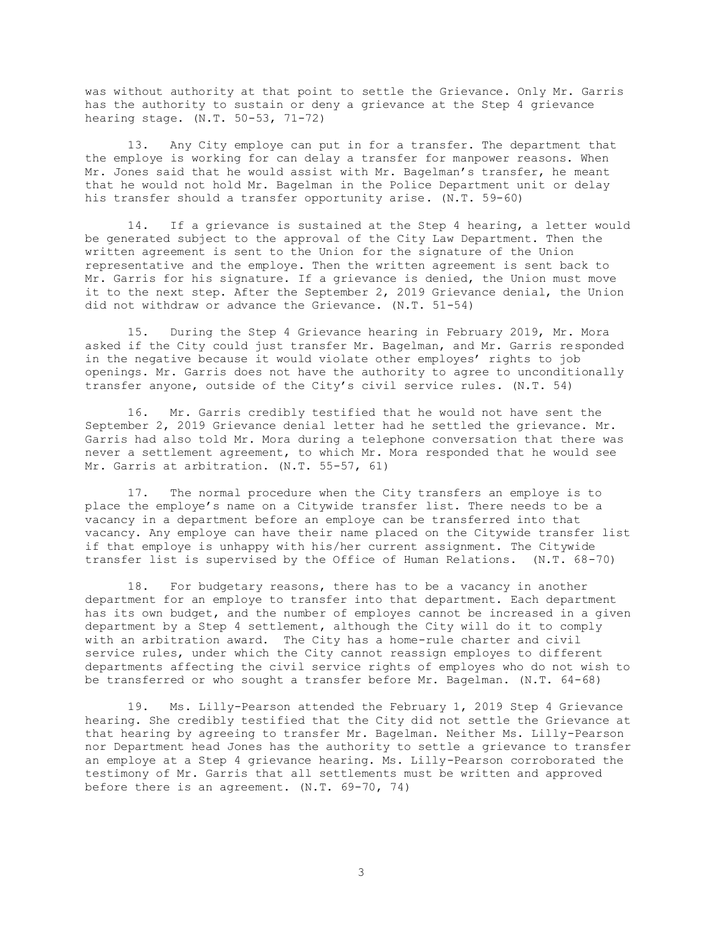was without authority at that point to settle the Grievance. Only Mr. Garris has the authority to sustain or deny a grievance at the Step 4 grievance hearing stage. (N.T. 50-53, 71-72)

13. Any City employe can put in for a transfer. The department that the employe is working for can delay a transfer for manpower reasons. When Mr. Jones said that he would assist with Mr. Bagelman's transfer, he meant that he would not hold Mr. Bagelman in the Police Department unit or delay his transfer should a transfer opportunity arise. (N.T. 59-60)

14. If a grievance is sustained at the Step 4 hearing, a letter would be generated subject to the approval of the City Law Department. Then the written agreement is sent to the Union for the signature of the Union representative and the employe. Then the written agreement is sent back to Mr. Garris for his signature. If a grievance is denied, the Union must move it to the next step. After the September 2, 2019 Grievance denial, the Union did not withdraw or advance the Grievance. (N.T. 51-54)

15. During the Step 4 Grievance hearing in February 2019, Mr. Mora asked if the City could just transfer Mr. Bagelman, and Mr. Garris responded in the negative because it would violate other employes' rights to job openings. Mr. Garris does not have the authority to agree to unconditionally transfer anyone, outside of the City's civil service rules. (N.T. 54)

16. Mr. Garris credibly testified that he would not have sent the September 2, 2019 Grievance denial letter had he settled the grievance. Mr. Garris had also told Mr. Mora during a telephone conversation that there was never a settlement agreement, to which Mr. Mora responded that he would see Mr. Garris at arbitration. (N.T. 55-57, 61)

17. The normal procedure when the City transfers an employe is to place the employe's name on a Citywide transfer list. There needs to be a vacancy in a department before an employe can be transferred into that vacancy. Any employe can have their name placed on the Citywide transfer list if that employe is unhappy with his/her current assignment. The Citywide transfer list is supervised by the Office of Human Relations. (N.T. 68-70)

18. For budgetary reasons, there has to be a vacancy in another department for an employe to transfer into that department. Each department has its own budget, and the number of employes cannot be increased in a given department by a Step 4 settlement, although the City will do it to comply with an arbitration award. The City has a home-rule charter and civil service rules, under which the City cannot reassign employes to different departments affecting the civil service rights of employes who do not wish to be transferred or who sought a transfer before Mr. Bagelman. (N.T. 64-68)

19. Ms. Lilly-Pearson attended the February 1, 2019 Step 4 Grievance hearing. She credibly testified that the City did not settle the Grievance at that hearing by agreeing to transfer Mr. Bagelman. Neither Ms. Lilly-Pearson nor Department head Jones has the authority to settle a grievance to transfer an employe at a Step 4 grievance hearing. Ms. Lilly-Pearson corroborated the testimony of Mr. Garris that all settlements must be written and approved before there is an agreement. (N.T. 69-70, 74)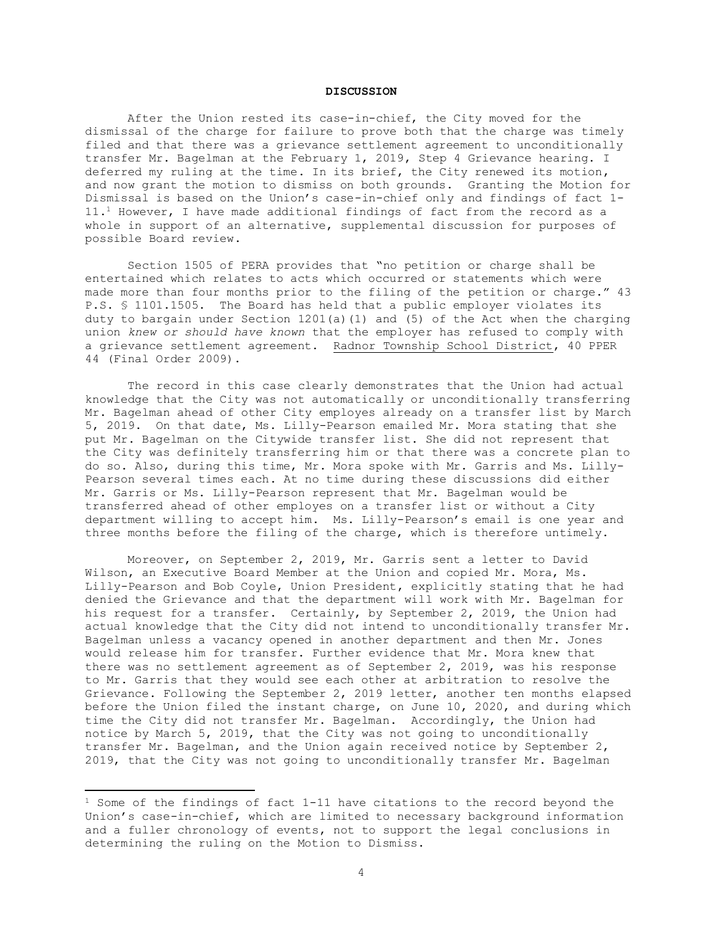# **DISCUSSION**

After the Union rested its case-in-chief, the City moved for the dismissal of the charge for failure to prove both that the charge was timely filed and that there was a grievance settlement agreement to unconditionally transfer Mr. Bagelman at the February 1, 2019, Step 4 Grievance hearing. I deferred my ruling at the time. In its brief, the City renewed its motion, and now grant the motion to dismiss on both grounds. Granting the Motion for Dismissal is based on the Union's case-in-chief only and findings of fact 1- 11.<sup>1</sup> However, I have made additional findings of fact from the record as a whole in support of an alternative, supplemental discussion for purposes of possible Board review.

Section 1505 of PERA provides that "no petition or charge shall be entertained which relates to acts which occurred or statements which were made more than four months prior to the filing of the petition or charge." 43 P.S. § 1101.1505. The Board has held that a public employer violates its duty to bargain under Section 1201(a)(1) and (5) of the Act when the charging union *knew or should have known* that the employer has refused to comply with a grievance settlement agreement. Radnor Township School District, 40 PPER 44 (Final Order 2009).

The record in this case clearly demonstrates that the Union had actual knowledge that the City was not automatically or unconditionally transferring Mr. Bagelman ahead of other City employes already on a transfer list by March 5, 2019. On that date, Ms. Lilly-Pearson emailed Mr. Mora stating that she put Mr. Bagelman on the Citywide transfer list. She did not represent that the City was definitely transferring him or that there was a concrete plan to do so. Also, during this time, Mr. Mora spoke with Mr. Garris and Ms. Lilly-Pearson several times each. At no time during these discussions did either Mr. Garris or Ms. Lilly-Pearson represent that Mr. Bagelman would be transferred ahead of other employes on a transfer list or without a City department willing to accept him. Ms. Lilly-Pearson's email is one year and three months before the filing of the charge, which is therefore untimely.

Moreover, on September 2, 2019, Mr. Garris sent a letter to David Wilson, an Executive Board Member at the Union and copied Mr. Mora, Ms. Lilly-Pearson and Bob Coyle, Union President, explicitly stating that he had denied the Grievance and that the department will work with Mr. Bagelman for his request for a transfer. Certainly, by September 2, 2019, the Union had actual knowledge that the City did not intend to unconditionally transfer Mr. Bagelman unless a vacancy opened in another department and then Mr. Jones would release him for transfer. Further evidence that Mr. Mora knew that there was no settlement agreement as of September 2, 2019, was his response to Mr. Garris that they would see each other at arbitration to resolve the Grievance. Following the September 2, 2019 letter, another ten months elapsed before the Union filed the instant charge, on June 10, 2020, and during which time the City did not transfer Mr. Bagelman. Accordingly, the Union had notice by March 5, 2019, that the City was not going to unconditionally transfer Mr. Bagelman, and the Union again received notice by September 2, 2019, that the City was not going to unconditionally transfer Mr. Bagelman

 $1$  Some of the findings of fact  $1-11$  have citations to the record beyond the Union's case-in-chief, which are limited to necessary background information and a fuller chronology of events, not to support the legal conclusions in determining the ruling on the Motion to Dismiss.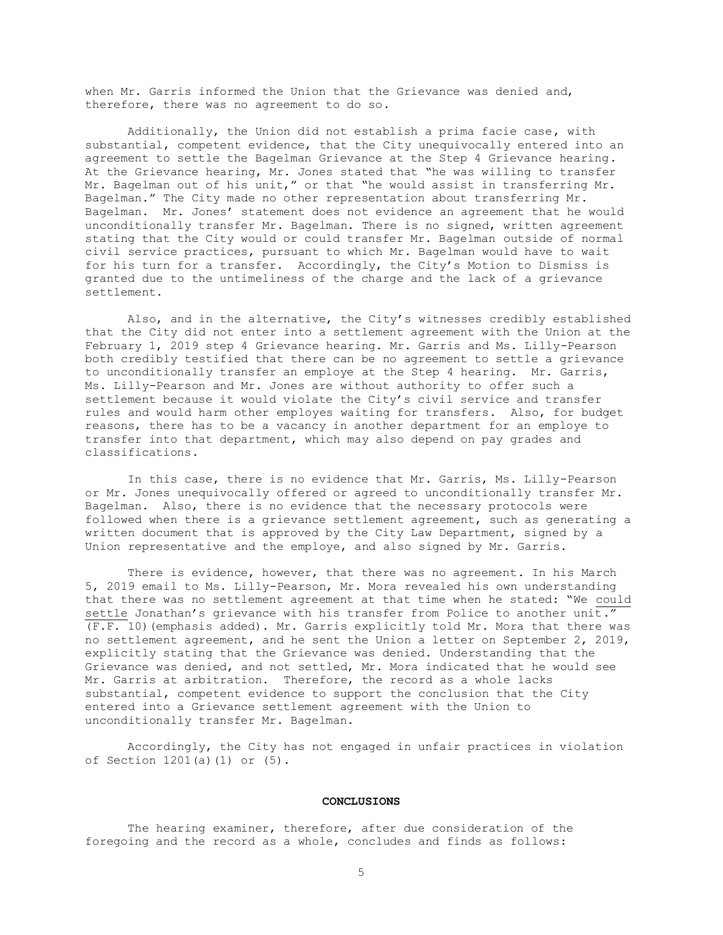when Mr. Garris informed the Union that the Grievance was denied and, therefore, there was no agreement to do so.

Additionally, the Union did not establish a prima facie case, with substantial, competent evidence, that the City unequivocally entered into an agreement to settle the Bagelman Grievance at the Step 4 Grievance hearing. At the Grievance hearing, Mr. Jones stated that "he was willing to transfer Mr. Bagelman out of his unit," or that "he would assist in transferring Mr. Bagelman." The City made no other representation about transferring Mr. Bagelman. Mr. Jones' statement does not evidence an agreement that he would unconditionally transfer Mr. Bagelman. There is no signed, written agreement stating that the City would or could transfer Mr. Bagelman outside of normal civil service practices, pursuant to which Mr. Bagelman would have to wait for his turn for a transfer. Accordingly, the City's Motion to Dismiss is granted due to the untimeliness of the charge and the lack of a grievance settlement.

Also, and in the alternative, the City's witnesses credibly established that the City did not enter into a settlement agreement with the Union at the February 1, 2019 step 4 Grievance hearing. Mr. Garris and Ms. Lilly-Pearson both credibly testified that there can be no agreement to settle a grievance to unconditionally transfer an employe at the Step 4 hearing. Mr. Garris, Ms. Lilly-Pearson and Mr. Jones are without authority to offer such a settlement because it would violate the City's civil service and transfer rules and would harm other employes waiting for transfers. Also, for budget reasons, there has to be a vacancy in another department for an employe to transfer into that department, which may also depend on pay grades and classifications.

In this case, there is no evidence that Mr. Garris, Ms. Lilly-Pearson or Mr. Jones unequivocally offered or agreed to unconditionally transfer Mr. Bagelman. Also, there is no evidence that the necessary protocols were followed when there is a grievance settlement agreement, such as generating a written document that is approved by the City Law Department, signed by a Union representative and the employe, and also signed by Mr. Garris.

There is evidence, however, that there was no agreement. In his March 5, 2019 email to Ms. Lilly-Pearson, Mr. Mora revealed his own understanding that there was no settlement agreement at that time when he stated: "We could settle Jonathan's grievance with his transfer from Police to another unit." (F.F. 10)(emphasis added). Mr. Garris explicitly told Mr. Mora that there was no settlement agreement, and he sent the Union a letter on September 2, 2019, explicitly stating that the Grievance was denied. Understanding that the Grievance was denied, and not settled, Mr. Mora indicated that he would see Mr. Garris at arbitration. Therefore, the record as a whole lacks substantial, competent evidence to support the conclusion that the City entered into a Grievance settlement agreement with the Union to unconditionally transfer Mr. Bagelman.

Accordingly, the City has not engaged in unfair practices in violation of Section 1201(a)(1) or (5).

### **CONCLUSIONS**

The hearing examiner, therefore, after due consideration of the foregoing and the record as a whole, concludes and finds as follows: